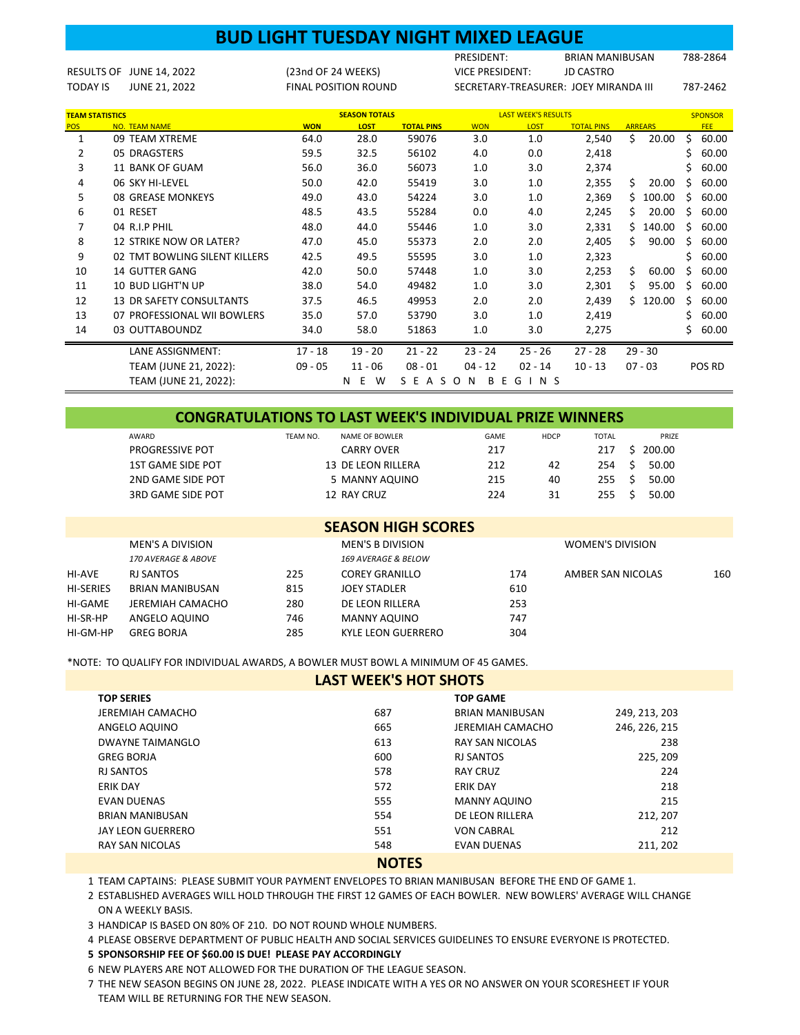|                        |                                 | <b>BUD LIGHT TUESDAY NIGHT MIXED LEAGUE</b> |                             |                   |                        |                            |                                       |                |                |
|------------------------|---------------------------------|---------------------------------------------|-----------------------------|-------------------|------------------------|----------------------------|---------------------------------------|----------------|----------------|
|                        |                                 |                                             |                             |                   | PRESIDENT:             |                            | <b>BRIAN MANIBUSAN</b>                |                | 788-2864       |
| <b>RESULTS OF</b>      | JUNE 14, 2022                   | (23nd OF 24 WEEKS)                          |                             |                   | <b>VICE PRESIDENT:</b> |                            | <b>JD CASTRO</b>                      |                |                |
| <b>TODAY IS</b>        | JUNE 21, 2022                   |                                             | <b>FINAL POSITION ROUND</b> |                   |                        |                            | SECRETARY-TREASURER: JOEY MIRANDA III |                | 787-2462       |
|                        |                                 |                                             |                             |                   |                        |                            |                                       |                |                |
| <b>TEAM STATISTICS</b> |                                 |                                             | <b>SEASON TOTALS</b>        |                   |                        | <b>LAST WEEK'S RESULTS</b> |                                       |                | <b>SPONSOR</b> |
| <b>POS</b>             | NO. TEAM NAME                   | <b>WON</b>                                  | LOST                        | <b>TOTAL PINS</b> | <b>WON</b>             | LOST                       | <b>TOTAL PINS</b>                     | <b>ARREARS</b> | <b>FEE</b>     |
| 1                      | 09 TEAM XTREME                  | 64.0                                        | 28.0                        | 59076             | 3.0                    | 1.0                        | 2,540                                 | Ś.<br>20.00    | \$<br>60.00    |
| 2                      | 05 DRAGSTERS                    | 59.5                                        | 32.5                        | 56102             | 4.0                    | 0.0                        | 2,418                                 |                | 60.00          |
| 3                      | <b>11 BANK OF GUAM</b>          | 56.0                                        | 36.0                        | 56073             | 1.0                    | 3.0                        | 2,374                                 |                | 60.00          |
| 4                      | 06 SKY HI-LEVEL                 | 50.0                                        | 42.0                        | 55419             | 3.0                    | 1.0                        | 2,355                                 | Ś.<br>20.00    | 60.00          |
| 5                      | 08 GREASE MONKEYS               | 49.0                                        | 43.0                        | 54224             | 3.0                    | 1.0                        | 2,369                                 | \$<br>100.00   | 60.00<br>Ś     |
| 6                      | 01 RESET                        | 48.5                                        | 43.5                        | 55284             | 0.0                    | 4.0                        | 2,245                                 | Ś<br>20.00     | 60.00<br>Ś     |
| 7                      | 04 R.I.P PHIL                   | 48.0                                        | 44.0                        | 55446             | 1.0                    | 3.0                        | 2,331                                 | \$<br>140.00   | Ś<br>60.00     |
| 8                      | <b>12 STRIKE NOW OR LATER?</b>  | 47.0                                        | 45.0                        | 55373             | 2.0                    | 2.0                        | 2,405                                 | Ś<br>90.00     | 60.00<br>Ś     |
| 9                      | 02 TMT BOWLING SILENT KILLERS   | 42.5                                        | 49.5                        | 55595             | 3.0                    | 1.0                        | 2,323                                 |                | 60.00<br>Ś     |
| 10                     | <b>14 GUTTER GANG</b>           | 42.0                                        | 50.0                        | 57448             | 1.0                    | 3.0                        | 2,253                                 | \$<br>60.00    | 60.00          |
| 11                     | <b>10 BUD LIGHT'N UP</b>        | 38.0                                        | 54.0                        | 49482             | 1.0                    | 3.0                        | 2,301                                 | \$<br>95.00    | 60.00<br>Ś     |
| 12                     | <b>13 DR SAFETY CONSULTANTS</b> | 37.5                                        | 46.5                        | 49953             | 2.0                    | 2.0                        | 2,439                                 | \$120.00       | 60.00<br>Ś     |
| 13                     | 07 PROFESSIONAL WII BOWLERS     | 35.0                                        | 57.0                        | 53790             | 3.0                    | 1.0                        | 2,419                                 |                | 60.00          |
| 14                     | 03 OUTTABOUNDZ                  | 34.0                                        | 58.0                        | 51863             | 1.0                    | 3.0                        | 2,275                                 |                | 60.00          |
|                        | <b>LANE ASSIGNMENT:</b>         | $17 - 18$                                   | $19 - 20$                   | $21 - 22$         | $23 - 24$              | $25 - 26$                  | $27 - 28$                             | $29 - 30$      |                |
|                        | TEAM (JUNE 21, 2022):           | $09 - 05$                                   | $11 - 06$                   | $08 - 01$         | $04 - 12$              | $02 - 14$                  | $10 - 13$                             | $07 - 03$      | POS RD         |
|                        | TEAM (JUNE 21, 2022):           |                                             | E<br>W<br>N                 | S E A S O         | N<br>B<br>Е            | $\vert N \vert$ S<br>G     |                                       |                |                |

| <b>CONGRATULATIONS TO LAST WEEK'S INDIVIDUAL PRIZE WINNERS</b> |          |                    |             |             |              |    |        |  |  |  |  |  |  |  |
|----------------------------------------------------------------|----------|--------------------|-------------|-------------|--------------|----|--------|--|--|--|--|--|--|--|
| AWARD                                                          | TEAM NO. | NAME OF BOWLER     | <b>GAME</b> | <b>HDCP</b> | <b>TOTAL</b> |    | PRIZE  |  |  |  |  |  |  |  |
| <b>PROGRESSIVE POT</b>                                         |          | <b>CARRY OVER</b>  | 217         |             | 217          | S. | 200.00 |  |  |  |  |  |  |  |
| 1ST GAME SIDE POT                                              |          | 13 DE LEON RILLERA | 212         | 42          | 254          |    | 50.00  |  |  |  |  |  |  |  |
| 2ND GAME SIDE POT                                              |          | 5 MANNY AQUINO     | 215         | 40          | 255          |    | 50.00  |  |  |  |  |  |  |  |
| 3RD GAME SIDE POT                                              |          | 12 RAY CRUZ        | 224         | 31          | 255          |    | 50.00  |  |  |  |  |  |  |  |
|                                                                |          |                    |             |             |              |    |        |  |  |  |  |  |  |  |

| <b>SEASON HIGH SCORES</b> |                         |     |                         |     |                   |     |  |  |  |  |  |  |
|---------------------------|-------------------------|-----|-------------------------|-----|-------------------|-----|--|--|--|--|--|--|
|                           | <b>MEN'S A DIVISION</b> |     | <b>MEN'S B DIVISION</b> |     | WOMEN'S DIVISION  |     |  |  |  |  |  |  |
|                           | 170 AVERAGE & ABOVE     |     | 169 AVERAGE & BELOW     |     |                   |     |  |  |  |  |  |  |
| HI-AVE                    | RJ SANTOS               | 225 | <b>COREY GRANILLO</b>   | 174 | AMBER SAN NICOLAS | 160 |  |  |  |  |  |  |
| <b>HI-SERIES</b>          | BRIAN MANIBUSAN         | 815 | JOEY STADLER            | 610 |                   |     |  |  |  |  |  |  |
| HI-GAME                   | JEREMIAH CAMACHO        | 280 | DE LEON RILLERA         | 253 |                   |     |  |  |  |  |  |  |
| HI-SR-HP                  | ANGELO AQUINO           | 746 | MANNY AQUINO            | 747 |                   |     |  |  |  |  |  |  |
| HI-GM-HP                  | <b>GREG BORJA</b>       | 285 | KYLE LEON GUERRERO      | 304 |                   |     |  |  |  |  |  |  |

\*NOTE: TO QUALIFY FOR INDIVIDUAL AWARDS, A BOWLER MUST BOWL A MINIMUM OF 45 GAMES.

| <b>LAST WEEK'S HOT SHOTS</b> |     |                        |               |  |  |  |  |  |  |  |  |
|------------------------------|-----|------------------------|---------------|--|--|--|--|--|--|--|--|
| <b>TOP SERIES</b>            |     | <b>TOP GAME</b>        |               |  |  |  |  |  |  |  |  |
| JEREMIAH CAMACHO             | 687 | <b>BRIAN MANIBUSAN</b> | 249, 213, 203 |  |  |  |  |  |  |  |  |
| ANGELO AQUINO                | 665 | JEREMIAH CAMACHO       | 246, 226, 215 |  |  |  |  |  |  |  |  |
| DWAYNE TAIMANGLO             | 613 | <b>RAY SAN NICOLAS</b> | 238           |  |  |  |  |  |  |  |  |
| <b>GREG BORJA</b>            | 600 | <b>RJ SANTOS</b>       | 225, 209      |  |  |  |  |  |  |  |  |
| <b>RJ SANTOS</b>             | 578 | <b>RAY CRUZ</b>        | 224           |  |  |  |  |  |  |  |  |
| <b>ERIK DAY</b>              | 572 | <b>ERIK DAY</b>        | 218           |  |  |  |  |  |  |  |  |
| <b>EVAN DUENAS</b>           | 555 | <b>MANNY AQUINO</b>    | 215           |  |  |  |  |  |  |  |  |
| <b>BRIAN MANIBUSAN</b>       | 554 | DE LEON RILLERA        | 212, 207      |  |  |  |  |  |  |  |  |
| JAY LEON GUERRERO            | 551 | <b>VON CABRAL</b>      | 212           |  |  |  |  |  |  |  |  |
| <b>RAY SAN NICOLAS</b>       | 548 | <b>EVAN DUENAS</b>     | 211, 202      |  |  |  |  |  |  |  |  |
| <b>NIATEC</b>                |     |                        |               |  |  |  |  |  |  |  |  |

**NOTES**

1 TEAM CAPTAINS: PLEASE SUBMIT YOUR PAYMENT ENVELOPES TO BRIAN MANIBUSAN BEFORE THE END OF GAME 1.

2 ESTABLISHED AVERAGES WILL HOLD THROUGH THE FIRST 12 GAMES OF EACH BOWLER. NEW BOWLERS' AVERAGE WILL CHANGE ON A WEEKLY BASIS.

3 HANDICAP IS BASED ON 80% OF 210. DO NOT ROUND WHOLE NUMBERS.

4 PLEASE OBSERVE DEPARTMENT OF PUBLIC HEALTH AND SOCIAL SERVICES GUIDELINES TO ENSURE EVERYONE IS PROTECTED.

**5 SPONSORSHIP FEE OF \$60.00 IS DUE! PLEASE PAY ACCORDINGLY**

6 NEW PLAYERS ARE NOT ALLOWED FOR THE DURATION OF THE LEAGUE SEASON.

7 THE NEW SEASON BEGINS ON JUNE 28, 2022. PLEASE INDICATE WITH A YES OR NO ANSWER ON YOUR SCORESHEET IF YOUR TEAM WILL BE RETURNING FOR THE NEW SEASON.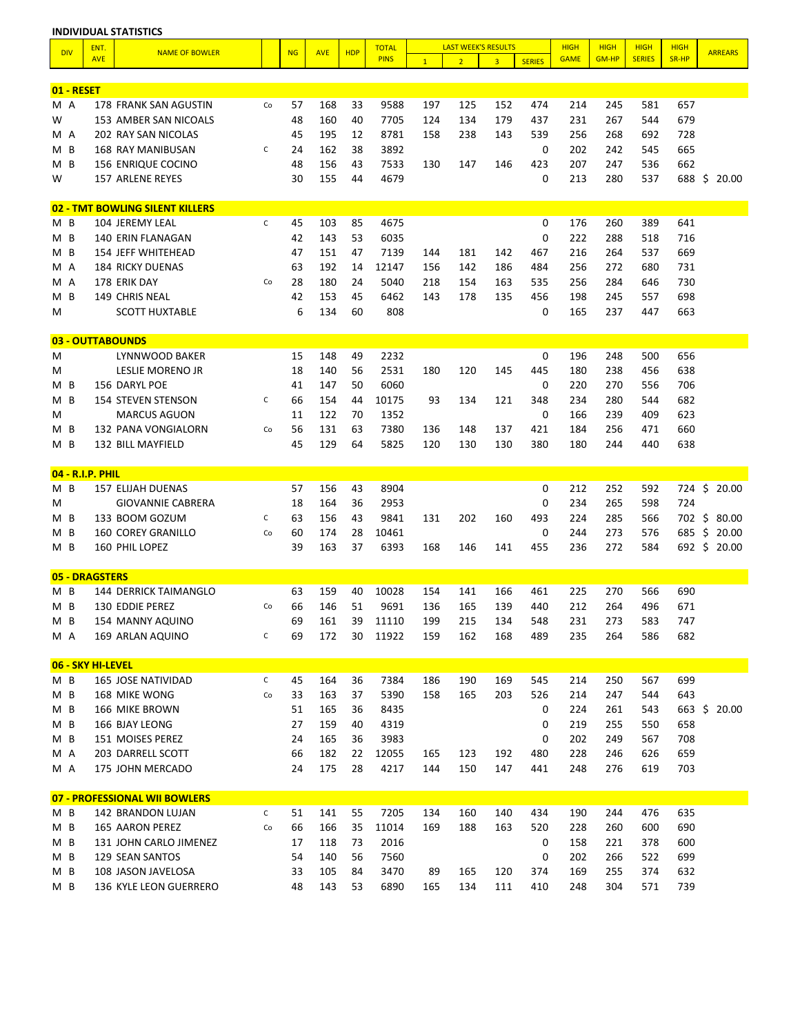| <b>DIV</b>     |        | ENT.                  | <b>NAME OF BOWLER</b>                         |              | <b>NG</b> | <b>AVE</b> | <b>HDP</b> | <b>TOTAL</b> |              | <b>LAST WEEK'S RESULTS</b> |                |               | <b>HIGH</b> | <b>HIGH</b>  | <b>HIGH</b>   | <b>HIGH</b> | <b>ARREARS</b> |
|----------------|--------|-----------------------|-----------------------------------------------|--------------|-----------|------------|------------|--------------|--------------|----------------------------|----------------|---------------|-------------|--------------|---------------|-------------|----------------|
|                |        | <b>AVE</b>            |                                               |              |           |            |            | <b>PINS</b>  | $\mathbf{1}$ | $\overline{2}$             | $\overline{3}$ | <b>SERIES</b> | <b>GAME</b> | <b>GM-HP</b> | <b>SERIES</b> | SR-HP       |                |
|                |        |                       |                                               |              |           |            |            |              |              |                            |                |               |             |              |               |             |                |
| 01 - RESET     |        |                       |                                               |              |           |            |            |              |              |                            |                |               |             |              |               |             |                |
| M A            |        |                       | 178 FRANK SAN AGUSTIN                         | Co           | 57        | 168        | 33         | 9588         | 197          | 125                        | 152            | 474           | 214         | 245          | 581           | 657         |                |
| W              |        |                       | 153 AMBER SAN NICOALS                         |              | 48        | 160        | 40         | 7705         | 124          | 134                        | 179            | 437           | 231         | 267          | 544           | 679         |                |
| M A            |        |                       | 202 RAY SAN NICOLAS                           |              | 45        | 195        | 12         | 8781         | 158          | 238                        | 143            | 539           | 256         | 268          | 692           | 728         |                |
| M              | B<br>B |                       | 168 RAY MANIBUSAN                             | C            | 24<br>48  | 162        | 38<br>43   | 3892         |              |                            |                | 0             | 202<br>207  | 242<br>247   | 545           | 665         |                |
| м              |        |                       | 156 ENRIQUE COCINO<br><b>157 ARLENE REYES</b> |              | 30        | 156<br>155 | 44         | 7533<br>4679 | 130          | 147                        | 146            | 423<br>0      |             |              | 536           | 662<br>688  |                |
| W              |        |                       |                                               |              |           |            |            |              |              |                            |                |               | 213         | 280          | 537           |             | \$<br>20.00    |
|                |        |                       | 02 - TMT BOWLING SILENT KILLERS               |              |           |            |            |              |              |                            |                |               |             |              |               |             |                |
| M <sub>B</sub> |        |                       | 104 JEREMY LEAL                               | C            | 45        | 103        | 85         | 4675         |              |                            |                | 0             | 176         | 260          | 389           | 641         |                |
| M <sub>B</sub> |        |                       | 140 ERIN FLANAGAN                             |              | 42        | 143        | 53         | 6035         |              |                            |                | 0             | 222         | 288          | 518           | 716         |                |
| M              | B      |                       | <b>154 JEFF WHITEHEAD</b>                     |              | 47        | 151        | 47         | 7139         | 144          | 181                        | 142            | 467           | 216         | 264          | 537           | 669         |                |
| M A            |        |                       | <b>184 RICKY DUENAS</b>                       |              | 63        | 192        | 14         | 12147        | 156          | 142                        | 186            | 484           | 256         | 272          | 680           | 731         |                |
| M A            |        |                       | 178 ERIK DAY                                  | Co           | 28        | 180        | 24         | 5040         | 218          | 154                        | 163            | 535           | 256         | 284          | 646           | 730         |                |
| м              | B      |                       | 149 CHRIS NEAL                                |              | 42        | 153        | 45         | 6462         | 143          | 178                        | 135            | 456           | 198         | 245          | 557           | 698         |                |
| M              |        |                       | <b>SCOTT HUXTABLE</b>                         |              | 6         | 134        | 60         | 808          |              |                            |                | 0             | 165         | 237          | 447           | 663         |                |
|                |        |                       |                                               |              |           |            |            |              |              |                            |                |               |             |              |               |             |                |
| 03             |        |                       | - OUTTABOUNDS                                 |              |           |            |            |              |              |                            |                |               |             |              |               |             |                |
| M              |        |                       | LYNNWOOD BAKER                                |              | 15        | 148        | 49         | 2232         |              |                            |                | 0             | 196         | 248          | 500           | 656         |                |
| M              |        |                       | <b>LESLIE MORENO JR</b>                       |              | 18        | 140        | 56         | 2531         | 180          | 120                        | 145            | 445           | 180         | 238          | 456           | 638         |                |
| M              | B      |                       | 156 DARYL POE                                 |              | 41        | 147        | 50         | 6060         |              |                            |                | 0             | 220         | 270          | 556           | 706         |                |
| M              | B      |                       | <b>154 STEVEN STENSON</b>                     | C            | 66        | 154        | 44         | 10175        | 93           | 134                        | 121            | 348           | 234         | 280          | 544           | 682         |                |
| M              |        |                       | <b>MARCUS AGUON</b>                           |              | 11        | 122        | 70         | 1352         |              |                            |                | 0             | 166         | 239          | 409           | 623         |                |
| M              | B      |                       | 132 PANA VONGIALORN                           | Co           | 56        | 131        | 63         | 7380         | 136          | 148                        | 137            | 421           | 184         | 256          | 471           | 660         |                |
| M <sub>B</sub> |        |                       | 132 BILL MAYFIELD                             |              | 45        | 129        | 64         | 5825         | 120          | 130                        | 130            | 380           | 180         | 244          | 440           | 638         |                |
|                |        | 04 - R.I.P. PHIL      |                                               |              |           |            |            |              |              |                            |                |               |             |              |               |             |                |
| M <sub>B</sub> |        |                       | <b>157 ELIJAH DUENAS</b>                      |              | 57        | 156        | 43         | 8904         |              |                            |                | 0             | 212         | 252          | 592           | 724         | \$20.00        |
| M              |        |                       | <b>GIOVANNIE CABRERA</b>                      |              | 18        | 164        | 36         | 2953         |              |                            |                | 0             | 234         | 265          | 598           | 724         |                |
| M              | B      |                       | 133 BOOM GOZUM                                | С            | 63        | 156        | 43         | 9841         | 131          | 202                        | 160            | 493           | 224         | 285          | 566           | 702         | \$<br>80.00    |
| M              | B      |                       | <b>160 COREY GRANILLO</b>                     | Co           | 60        | 174        | 28         | 10461        |              |                            |                | 0             | 244         | 273          | 576           | 685         | \$<br>20.00    |
| M <sub>B</sub> |        |                       | 160 PHIL LOPEZ                                |              | 39        | 163        | 37         | 6393         | 168          | 146                        | 141            | 455           | 236         | 272          | 584           |             | 692 \$ 20.00   |
|                |        |                       |                                               |              |           |            |            |              |              |                            |                |               |             |              |               |             |                |
|                |        | <b>05 - DRAGSTERS</b> |                                               |              |           |            |            |              |              |                            |                |               |             |              |               |             |                |
| M <sub>B</sub> |        |                       | 144 DERRICK TAIMANGLO                         |              | 63        | 159        | 40         | 10028        | 154          | 141                        | 166            | 461           | 225         | 270          | 566           | 690         |                |
| M <sub>B</sub> |        |                       | 130 EDDIE PEREZ                               | Co           | 66        | 146        | 51         | 9691         | 136          | 165                        | 139            | 440           | 212         | 264          | 496           | 671         |                |
| M B            |        |                       | 154 MANNY AQUINO                              |              | 69        | 161        | 39         | 11110        | 199          | 215                        | 134            | 548           | 231         | 273          | 583           | 747         |                |
| M A            |        |                       | 169 ARLAN AQUINO                              | С            | 69        | 172        | 30         | 11922        | 159          | 162                        | 168            | 489           | 235         | 264          | 586           | 682         |                |
|                |        |                       |                                               |              |           |            |            |              |              |                            |                |               |             |              |               |             |                |
|                |        | 06 - SKY HI-LEVEL     |                                               |              |           |            |            |              |              |                            |                |               |             |              |               |             |                |
| M B            |        |                       | 165 JOSE NATIVIDAD                            | $\mathsf{C}$ | 45        | 164        | 36         | 7384         | 186          | 190                        | 169            | 545           | 214         | 250          | 567           | 699         |                |
| M B            |        |                       | 168 MIKE WONG                                 | Co           | 33        | 163        | 37         | 5390         | 158          | 165                        | 203            | 526           | 214         | 247          | 544           | 643         |                |
| $M$ B          |        |                       | 166 MIKE BROWN                                |              | 51        | 165        | 36         | 8435         |              |                            |                | 0             | 224         | 261          | 543           |             | 663 \$ 20.00   |
| $M$ B          |        |                       | 166 BJAY LEONG                                |              | 27        | 159        | 40         | 4319         |              |                            |                | 0             | 219         | 255          | 550           | 658         |                |
| $M$ B          |        |                       | 151 MOISES PEREZ                              |              | 24        | 165        | 36         | 3983         |              |                            |                | 0             | 202         | 249          | 567           | 708         |                |
| M A            |        |                       | 203 DARRELL SCOTT                             |              | 66        | 182        | 22         | 12055        | 165          | 123                        | 192            | 480           | 228         | 246          | 626           | 659         |                |
| M A            |        |                       | 175 JOHN MERCADO                              |              | 24        | 175        | 28         | 4217         | 144          | 150                        | 147            | 441           | 248         | 276          | 619           | 703         |                |
|                |        |                       | 07 - PROFESSIONAL WII BOWLERS                 |              |           |            |            |              |              |                            |                |               |             |              |               |             |                |
| $M$ B          |        |                       | 142 BRANDON LUJAN                             | $\mathsf{C}$ | 51        | 141        | 55         | 7205         | 134          | 160                        | 140            | 434           | 190         | 244          | 476           | 635         |                |
| M B            |        |                       | 165 AARON PEREZ                               | Co           | 66        | 166        | 35         | 11014        | 169          | 188                        | 163            | 520           | 228         | 260          | 600           | 690         |                |
| $M$ B          |        |                       | 131 JOHN CARLO JIMENEZ                        |              | 17        | 118        | 73         | 2016         |              |                            |                | 0             | 158         | 221          | 378           | 600         |                |
| $M$ B          |        |                       | 129 SEAN SANTOS                               |              | 54        | 140        | 56         | 7560         |              |                            |                | 0             | 202         | 266          | 522           | 699         |                |
| $M$ B          |        |                       | 108 JASON JAVELOSA                            |              | 33        | 105        | 84         | 3470         | 89           | 165                        | 120            | 374           | 169         | 255          | 374           | 632         |                |
| M B            |        |                       | 136 KYLE LEON GUERRERO                        |              | 48        | 143        | 53         | 6890         | 165          | 134                        | 111            | 410           | 248         | 304          | 571           | 739         |                |

**INDIVIDUAL STATISTICS**